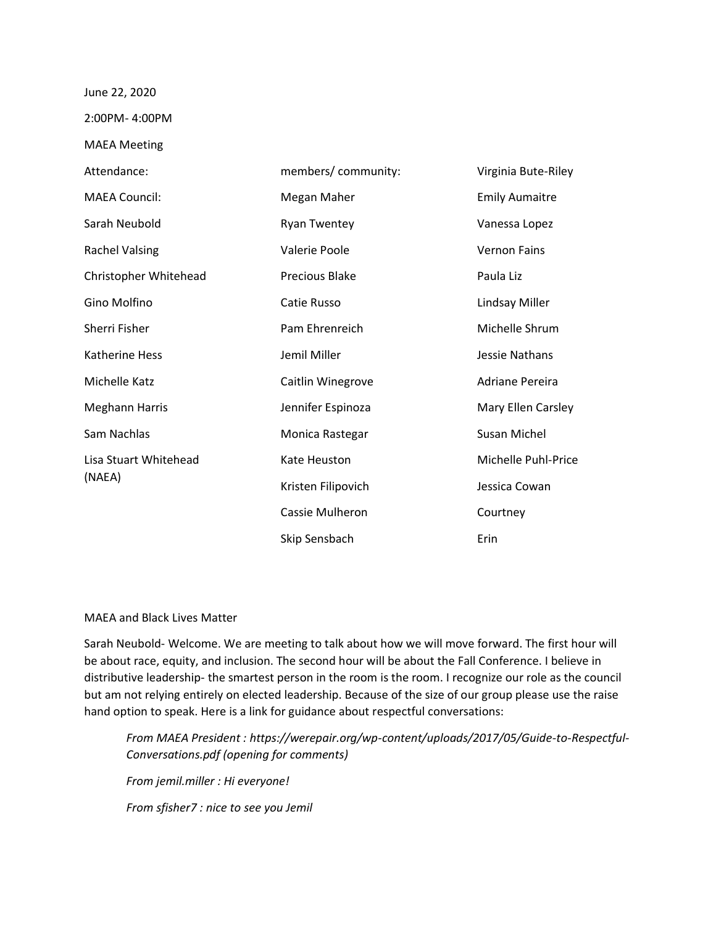## June 22, 2020

2:00PM- 4:00PM

MAEA Meeting

| Attendance:                     | members/community:    | Virginia Bute-Riley   |
|---------------------------------|-----------------------|-----------------------|
| <b>MAEA Council:</b>            | Megan Maher           | <b>Emily Aumaitre</b> |
| Sarah Neubold                   | <b>Ryan Twentey</b>   | Vanessa Lopez         |
| <b>Rachel Valsing</b>           | Valerie Poole         | <b>Vernon Fains</b>   |
| Christopher Whitehead           | <b>Precious Blake</b> | Paula Liz             |
| Gino Molfino                    | Catie Russo           | Lindsay Miller        |
| Sherri Fisher                   | Pam Ehrenreich        | Michelle Shrum        |
| <b>Katherine Hess</b>           | Jemil Miller          | Jessie Nathans        |
| <b>Michelle Katz</b>            | Caitlin Winegrove     | Adriane Pereira       |
| Meghann Harris                  | Jennifer Espinoza     | Mary Ellen Carsley    |
| Sam Nachlas                     | Monica Rastegar       | Susan Michel          |
| Lisa Stuart Whitehead<br>(NAEA) | Kate Heuston          | Michelle Puhl-Price   |
|                                 | Kristen Filipovich    | Jessica Cowan         |
|                                 | Cassie Mulheron       | Courtney              |
|                                 | Skip Sensbach         | Erin                  |

## MAEA and Black Lives Matter

Sarah Neubold- Welcome. We are meeting to talk about how we will move forward. The first hour will be about race, equity, and inclusion. The second hour will be about the Fall Conference. I believe in distributive leadership- the smartest person in the room is the room. I recognize our role as the council but am not relying entirely on elected leadership. Because of the size of our group please use the raise hand option to speak. Here is a link for guidance about respectful conversations:

*From MAEA President : https://werepair.org/wp-content/uploads/2017/05/Guide-to-Respectful-Conversations.pdf (opening for comments) From jemil.miller : Hi everyone!*

*From sfisher7 : nice to see you Jemil*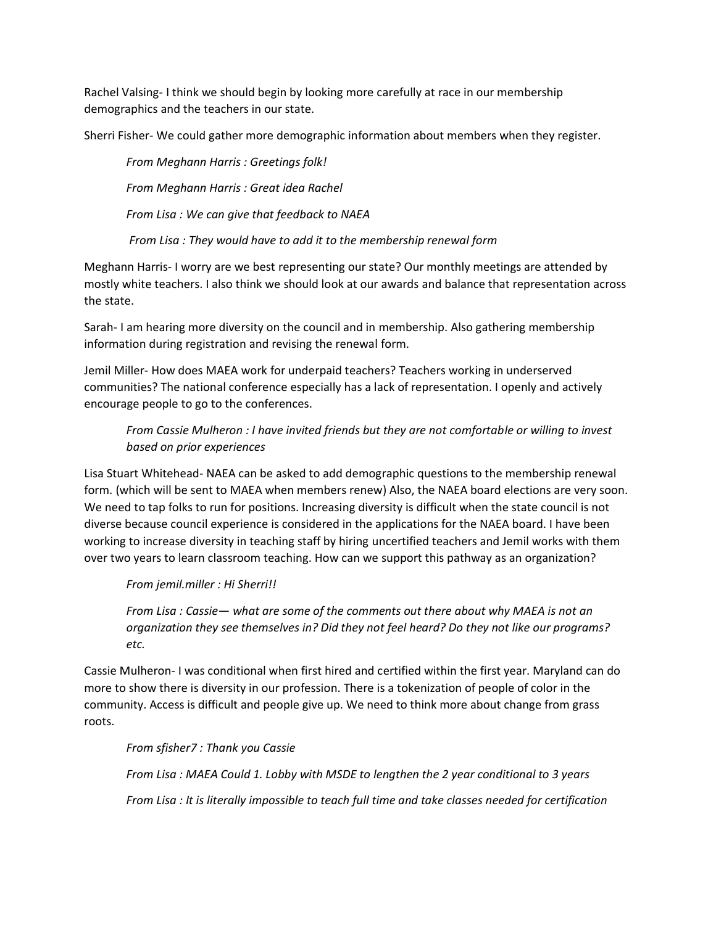Rachel Valsing- I think we should begin by looking more carefully at race in our membership demographics and the teachers in our state.

Sherri Fisher- We could gather more demographic information about members when they register.

*From Meghann Harris : Greetings folk! From Meghann Harris : Great idea Rachel From Lisa : We can give that feedback to NAEA From Lisa : They would have to add it to the membership renewal form*

Meghann Harris- I worry are we best representing our state? Our monthly meetings are attended by mostly white teachers. I also think we should look at our awards and balance that representation across the state.

Sarah- I am hearing more diversity on the council and in membership. Also gathering membership information during registration and revising the renewal form.

Jemil Miller- How does MAEA work for underpaid teachers? Teachers working in underserved communities? The national conference especially has a lack of representation. I openly and actively encourage people to go to the conferences.

*From Cassie Mulheron : I have invited friends but they are not comfortable or willing to invest based on prior experiences*

Lisa Stuart Whitehead- NAEA can be asked to add demographic questions to the membership renewal form. (which will be sent to MAEA when members renew) Also, the NAEA board elections are very soon. We need to tap folks to run for positions. Increasing diversity is difficult when the state council is not diverse because council experience is considered in the applications for the NAEA board. I have been working to increase diversity in teaching staff by hiring uncertified teachers and Jemil works with them over two years to learn classroom teaching. How can we support this pathway as an organization?

*From jemil.miller : Hi Sherri!!*

*From Lisa : Cassie— what are some of the comments out there about why MAEA is not an organization they see themselves in? Did they not feel heard? Do they not like our programs? etc.*

Cassie Mulheron- I was conditional when first hired and certified within the first year. Maryland can do more to show there is diversity in our profession. There is a tokenization of people of color in the community. Access is difficult and people give up. We need to think more about change from grass roots.

*From sfisher7 : Thank you Cassie*

*From Lisa : MAEA Could 1. Lobby with MSDE to lengthen the 2 year conditional to 3 years From Lisa : It is literally impossible to teach full time and take classes needed for certification*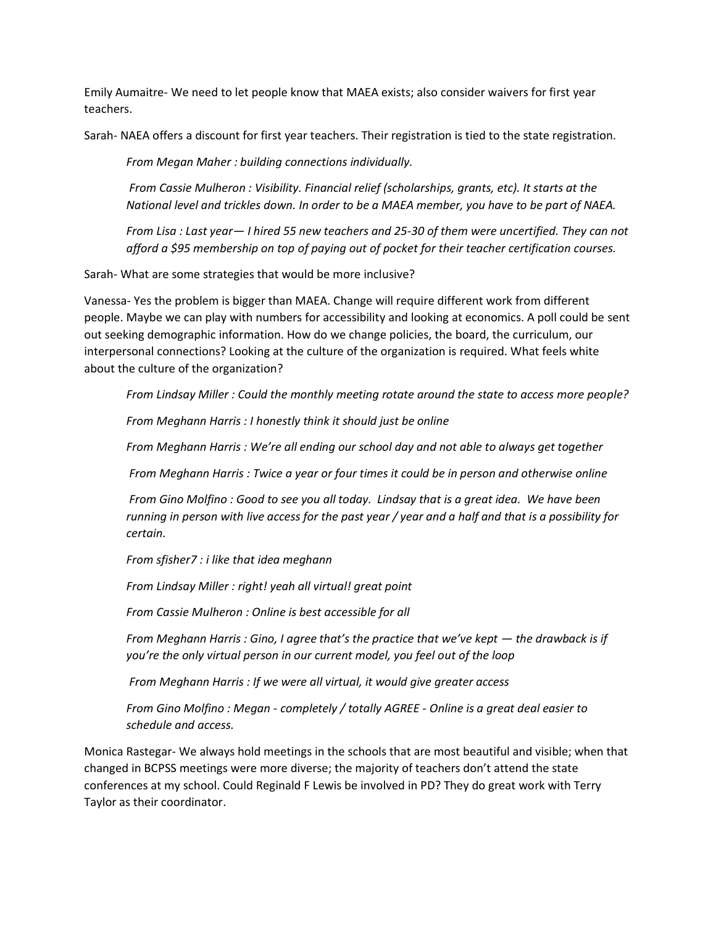Emily Aumaitre- We need to let people know that MAEA exists; also consider waivers for first year teachers.

Sarah- NAEA offers a discount for first year teachers. Their registration is tied to the state registration.

*From Megan Maher : building connections individually.*

*From Cassie Mulheron : Visibility. Financial relief (scholarships, grants, etc). It starts at the National level and trickles down. In order to be a MAEA member, you have to be part of NAEA.*

*From Lisa : Last year— I hired 55 new teachers and 25-30 of them were uncertified. They can not afford a \$95 membership on top of paying out of pocket for their teacher certification courses.*

Sarah- What are some strategies that would be more inclusive?

Vanessa- Yes the problem is bigger than MAEA. Change will require different work from different people. Maybe we can play with numbers for accessibility and looking at economics. A poll could be sent out seeking demographic information. How do we change policies, the board, the curriculum, our interpersonal connections? Looking at the culture of the organization is required. What feels white about the culture of the organization?

*From Lindsay Miller : Could the monthly meeting rotate around the state to access more people?*

*From Meghann Harris : I honestly think it should just be online*

*From Meghann Harris : We're all ending our school day and not able to always get together*

*From Meghann Harris : Twice a year or four times it could be in person and otherwise online*

*From Gino Molfino : Good to see you all today. Lindsay that is a great idea. We have been running in person with live access for the past year / year and a half and that is a possibility for certain.*

*From sfisher7 : i like that idea meghann*

*From Lindsay Miller : right! yeah all virtual! great point*

*From Cassie Mulheron : Online is best accessible for all*

*From Meghann Harris : Gino, I agree that's the practice that we've kept — the drawback is if you're the only virtual person in our current model, you feel out of the loop*

*From Meghann Harris : If we were all virtual, it would give greater access*

*From Gino Molfino : Megan - completely / totally AGREE - Online is a great deal easier to schedule and access.*

Monica Rastegar- We always hold meetings in the schools that are most beautiful and visible; when that changed in BCPSS meetings were more diverse; the majority of teachers don't attend the state conferences at my school. Could Reginald F Lewis be involved in PD? They do great work with Terry Taylor as their coordinator.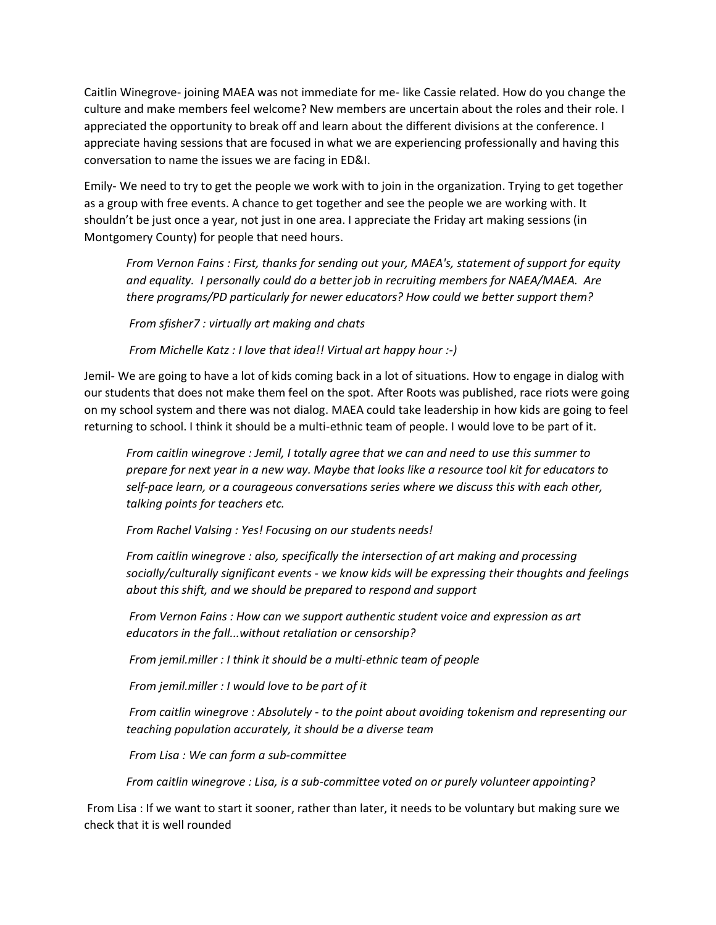Caitlin Winegrove- joining MAEA was not immediate for me- like Cassie related. How do you change the culture and make members feel welcome? New members are uncertain about the roles and their role. I appreciated the opportunity to break off and learn about the different divisions at the conference. I appreciate having sessions that are focused in what we are experiencing professionally and having this conversation to name the issues we are facing in ED&I.

Emily- We need to try to get the people we work with to join in the organization. Trying to get together as a group with free events. A chance to get together and see the people we are working with. It shouldn't be just once a year, not just in one area. I appreciate the Friday art making sessions (in Montgomery County) for people that need hours.

*From Vernon Fains : First, thanks for sending out your, MAEA's, statement of support for equity and equality. I personally could do a better job in recruiting members for NAEA/MAEA. Are there programs/PD particularly for newer educators? How could we better support them?*

*From sfisher7 : virtually art making and chats*

*From Michelle Katz : I love that idea!! Virtual art happy hour :-)*

Jemil- We are going to have a lot of kids coming back in a lot of situations. How to engage in dialog with our students that does not make them feel on the spot. After Roots was published, race riots were going on my school system and there was not dialog. MAEA could take leadership in how kids are going to feel returning to school. I think it should be a multi-ethnic team of people. I would love to be part of it.

*From caitlin winegrove : Jemil, I totally agree that we can and need to use this summer to prepare for next year in a new way. Maybe that looks like a resource tool kit for educators to self-pace learn, or a courageous conversations series where we discuss this with each other, talking points for teachers etc.* 

*From Rachel Valsing : Yes! Focusing on our students needs!*

*From caitlin winegrove : also, specifically the intersection of art making and processing socially/culturally significant events - we know kids will be expressing their thoughts and feelings about this shift, and we should be prepared to respond and support*

*From Vernon Fains : How can we support authentic student voice and expression as art educators in the fall...without retaliation or censorship?*

*From jemil.miller : I think it should be a multi-ethnic team of people*

*From jemil.miller : I would love to be part of it*

*From caitlin winegrove : Absolutely - to the point about avoiding tokenism and representing our teaching population accurately, it should be a diverse team*

*From Lisa : We can form a sub-committee*

*From caitlin winegrove : Lisa, is a sub-committee voted on or purely volunteer appointing?*

From Lisa : If we want to start it sooner, rather than later, it needs to be voluntary but making sure we check that it is well rounded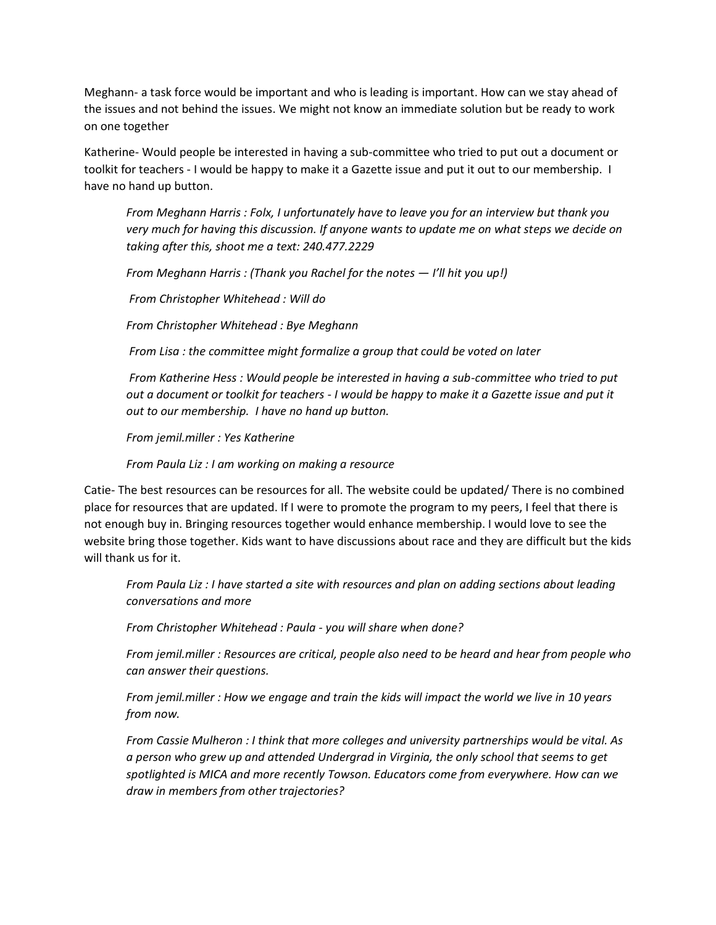Meghann- a task force would be important and who is leading is important. How can we stay ahead of the issues and not behind the issues. We might not know an immediate solution but be ready to work on one together

Katherine- Would people be interested in having a sub-committee who tried to put out a document or toolkit for teachers - I would be happy to make it a Gazette issue and put it out to our membership. I have no hand up button.

*From Meghann Harris : Folx, I unfortunately have to leave you for an interview but thank you very much for having this discussion. If anyone wants to update me on what steps we decide on taking after this, shoot me a text: 240.477.2229*

*From Meghann Harris : (Thank you Rachel for the notes — I'll hit you up!)*

*From Christopher Whitehead : Will do*

*From Christopher Whitehead : Bye Meghann*

*From Lisa : the committee might formalize a group that could be voted on later*

*From Katherine Hess : Would people be interested in having a sub-committee who tried to put out a document or toolkit for teachers - I would be happy to make it a Gazette issue and put it out to our membership. I have no hand up button.*

*From jemil.miller : Yes Katherine*

*From Paula Liz : I am working on making a resource*

Catie- The best resources can be resources for all. The website could be updated/ There is no combined place for resources that are updated. If I were to promote the program to my peers, I feel that there is not enough buy in. Bringing resources together would enhance membership. I would love to see the website bring those together. Kids want to have discussions about race and they are difficult but the kids will thank us for it.

*From Paula Liz : I have started a site with resources and plan on adding sections about leading conversations and more* 

*From Christopher Whitehead : Paula - you will share when done?*

*From jemil.miller : Resources are critical, people also need to be heard and hear from people who can answer their questions.*

*From jemil.miller : How we engage and train the kids will impact the world we live in 10 years from now.*

*From Cassie Mulheron : I think that more colleges and university partnerships would be vital. As a person who grew up and attended Undergrad in Virginia, the only school that seems to get spotlighted is MICA and more recently Towson. Educators come from everywhere. How can we draw in members from other trajectories?*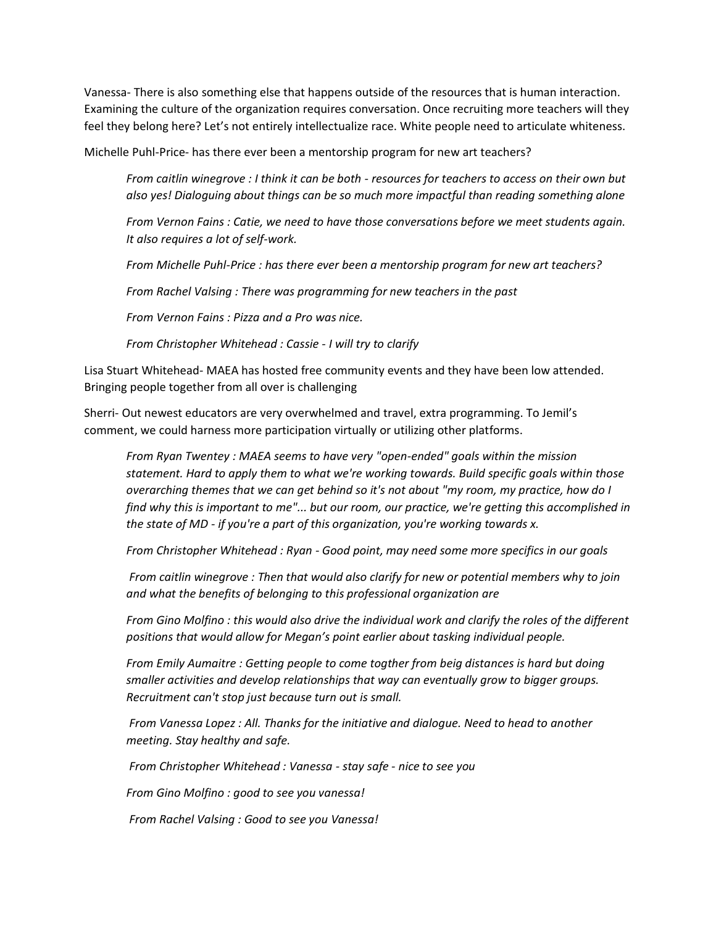Vanessa- There is also something else that happens outside of the resources that is human interaction. Examining the culture of the organization requires conversation. Once recruiting more teachers will they feel they belong here? Let's not entirely intellectualize race. White people need to articulate whiteness.

Michelle Puhl-Price- has there ever been a mentorship program for new art teachers?

*From caitlin winegrove : I think it can be both - resources for teachers to access on their own but also yes! Dialoguing about things can be so much more impactful than reading something alone*

*From Vernon Fains : Catie, we need to have those conversations before we meet students again. It also requires a lot of self-work.* 

*From Michelle Puhl-Price : has there ever been a mentorship program for new art teachers?*

*From Rachel Valsing : There was programming for new teachers in the past*

*From Vernon Fains : Pizza and a Pro was nice.*

*From Christopher Whitehead : Cassie - I will try to clarify*

Lisa Stuart Whitehead- MAEA has hosted free community events and they have been low attended. Bringing people together from all over is challenging

Sherri- Out newest educators are very overwhelmed and travel, extra programming. To Jemil's comment, we could harness more participation virtually or utilizing other platforms.

*From Ryan Twentey : MAEA seems to have very "open-ended" goals within the mission statement. Hard to apply them to what we're working towards. Build specific goals within those overarching themes that we can get behind so it's not about "my room, my practice, how do I find why this is important to me"... but our room, our practice, we're getting this accomplished in the state of MD - if you're a part of this organization, you're working towards x.*

*From Christopher Whitehead : Ryan - Good point, may need some more specifics in our goals*

*From caitlin winegrove : Then that would also clarify for new or potential members why to join and what the benefits of belonging to this professional organization are*

*From Gino Molfino : this would also drive the individual work and clarify the roles of the different positions that would allow for Megan's point earlier about tasking individual people.*

*From Emily Aumaitre : Getting people to come togther from beig distances is hard but doing smaller activities and develop relationships that way can eventually grow to bigger groups. Recruitment can't stop just because turn out is small.* 

*From Vanessa Lopez : All. Thanks for the initiative and dialogue. Need to head to another meeting. Stay healthy and safe.*

*From Christopher Whitehead : Vanessa - stay safe - nice to see you*

*From Gino Molfino : good to see you vanessa!*

*From Rachel Valsing : Good to see you Vanessa!*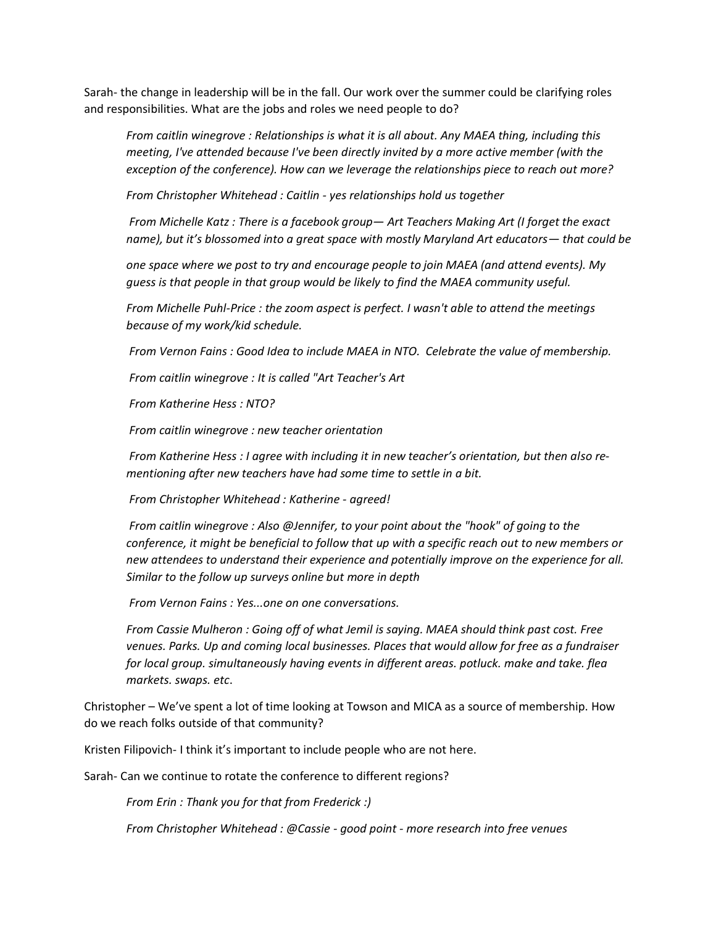Sarah- the change in leadership will be in the fall. Our work over the summer could be clarifying roles and responsibilities. What are the jobs and roles we need people to do?

*From caitlin winegrove : Relationships is what it is all about. Any MAEA thing, including this meeting, I've attended because I've been directly invited by a more active member (with the exception of the conference). How can we leverage the relationships piece to reach out more?*

*From Christopher Whitehead : Caitlin - yes relationships hold us together*

*From Michelle Katz : There is a facebook group— Art Teachers Making Art (I forget the exact name), but it's blossomed into a great space with mostly Maryland Art educators— that could be* 

*one space where we post to try and encourage people to join MAEA (and attend events). My guess is that people in that group would be likely to find the MAEA community useful.*

*From Michelle Puhl-Price : the zoom aspect is perfect. I wasn't able to attend the meetings because of my work/kid schedule.* 

*From Vernon Fains : Good Idea to include MAEA in NTO. Celebrate the value of membership.*

*From caitlin winegrove : It is called "Art Teacher's Art*

*From Katherine Hess : NTO?*

*From caitlin winegrove : new teacher orientation*

*From Katherine Hess : I agree with including it in new teacher's orientation, but then also rementioning after new teachers have had some time to settle in a bit.*

*From Christopher Whitehead : Katherine - agreed!*

*From caitlin winegrove : Also @Jennifer, to your point about the "hook" of going to the conference, it might be beneficial to follow that up with a specific reach out to new members or new attendees to understand their experience and potentially improve on the experience for all. Similar to the follow up surveys online but more in depth*

*From Vernon Fains : Yes...one on one conversations.*

*From Cassie Mulheron : Going off of what Jemil is saying. MAEA should think past cost. Free venues. Parks. Up and coming local businesses. Places that would allow for free as a fundraiser for local group. simultaneously having events in different areas. potluck. make and take. flea markets. swaps. etc*.

Christopher – We've spent a lot of time looking at Towson and MICA as a source of membership. How do we reach folks outside of that community?

Kristen Filipovich- I think it's important to include people who are not here.

Sarah- Can we continue to rotate the conference to different regions?

*From Erin : Thank you for that from Frederick :)*

*From Christopher Whitehead : @Cassie - good point - more research into free venues*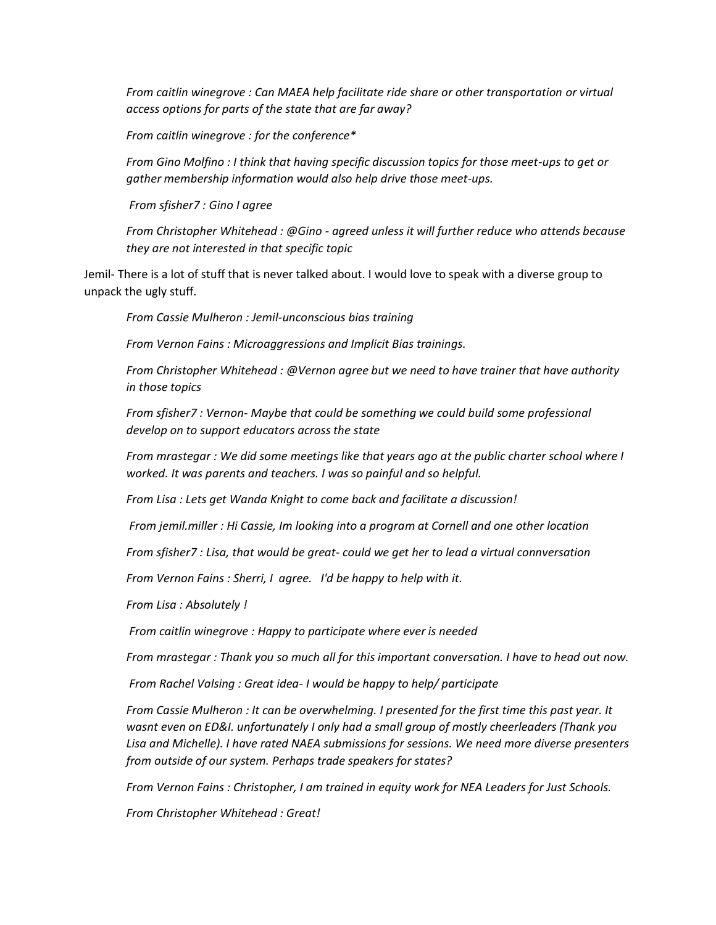*From caitlin winegrove : Can MAEA help facilitate ride share or other transportation or virtual access options for parts of the state that are far away?*

*From caitlin winegrove : for the conference\**

*From Gino Molfino : I think that having specific discussion topics for those meet-ups to get or gather membership information would also help drive those meet-ups.*

*From sfisher7 : Gino I agree*

*From Christopher Whitehead : @Gino - agreed unless it will further reduce who attends because they are not interested in that specific topic*

Jemil- There is a lot of stuff that is never talked about. I would love to speak with a diverse group to unpack the ugly stuff.

*From Cassie Mulheron : Jemil-unconscious bias training*

*From Vernon Fains : Microaggressions and Implicit Bias trainings.*

*From Christopher Whitehead : @Vernon agree but we need to have trainer that have authority in those topics*

*From sfisher7 : Vernon- Maybe that could be something we could build some professional develop on to support educators across the state*

*From mrastegar : We did some meetings like that years ago at the public charter school where I worked. It was parents and teachers. I was so painful and so helpful.*

*From Lisa : Lets get Wanda Knight to come back and facilitate a discussion!*

*From jemil.miller : Hi Cassie, Im looking into a program at Cornell and one other location*

*From sfisher7 : Lisa, that would be great- could we get her to lead a virtual connversation*

*From Vernon Fains : Sherri, I agree. I'd be happy to help with it.*

*From Lisa : Absolutely !*

*From caitlin winegrove : Happy to participate where ever is needed*

*From mrastegar : Thank you so much all for this important conversation. I have to head out now.* 

*From Rachel Valsing : Great idea- I would be happy to help/ participate*

*From Cassie Mulheron : It can be overwhelming. I presented for the first time this past year. It wasnt even on ED&I. unfortunately I only had a small group of mostly cheerleaders (Thank you Lisa and Michelle). I have rated NAEA submissions for sessions. We need more diverse presenters from outside of our system. Perhaps trade speakers for states?*

*From Vernon Fains : Christopher, I am trained in equity work for NEA Leaders for Just Schools.*

*From Christopher Whitehead : Great!*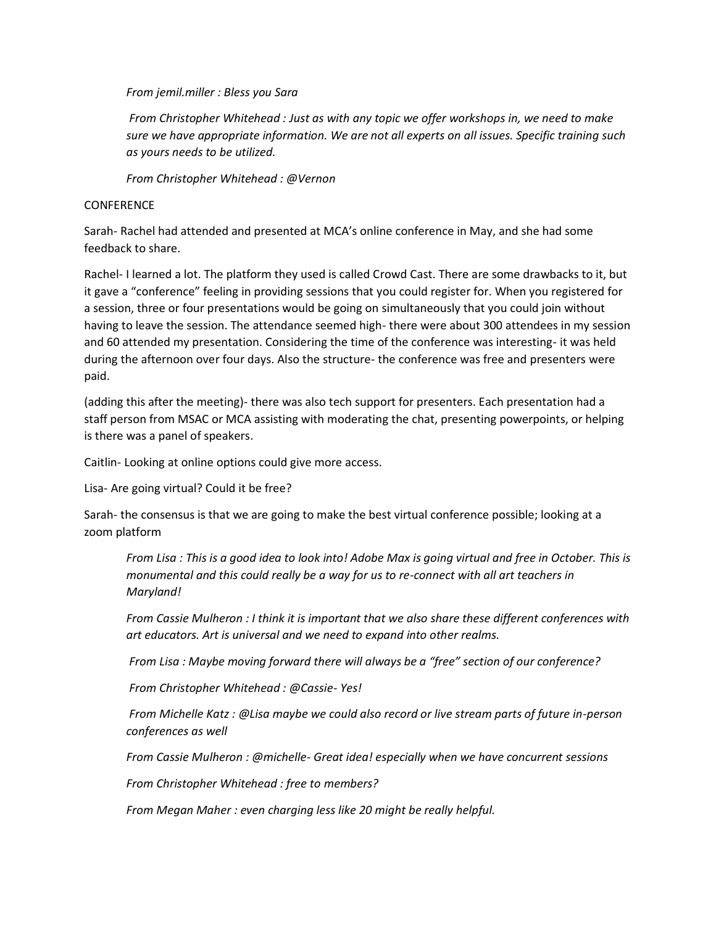*From jemil.miller : Bless you Sara*

*From Christopher Whitehead : Just as with any topic we offer workshops in, we need to make sure we have appropriate information. We are not all experts on all issues. Specific training such as yours needs to be utilized.*

*From Christopher Whitehead : @Vernon*

## **CONFERENCE**

Sarah- Rachel had attended and presented at MCA's online conference in May, and she had some feedback to share.

Rachel- I learned a lot. The platform they used is called Crowd Cast. There are some drawbacks to it, but it gave a "conference" feeling in providing sessions that you could register for. When you registered for a session, three or four presentations would be going on simultaneously that you could join without having to leave the session. The attendance seemed high- there were about 300 attendees in my session and 60 attended my presentation. Considering the time of the conference was interesting- it was held during the afternoon over four days. Also the structure- the conference was free and presenters were paid.

(adding this after the meeting)- there was also tech support for presenters. Each presentation had a staff person from MSAC or MCA assisting with moderating the chat, presenting powerpoints, or helping is there was a panel of speakers.

Caitlin- Looking at online options could give more access.

Lisa- Are going virtual? Could it be free?

Sarah- the consensus is that we are going to make the best virtual conference possible; looking at a zoom platform

*From Lisa : This is a good idea to look into! Adobe Max is going virtual and free in October. This is monumental and this could really be a way for us to re-connect with all art teachers in Maryland!*

*From Cassie Mulheron : I think it is important that we also share these different conferences with art educators. Art is universal and we need to expand into other realms.*

*From Lisa : Maybe moving forward there will always be a "free" section of our conference?*

*From Christopher Whitehead : @Cassie- Yes!*

*From Michelle Katz : @Lisa maybe we could also record or live stream parts of future in-person conferences as well*

*From Cassie Mulheron : @michelle- Great idea! especially when we have concurrent sessions*

*From Christopher Whitehead : free to members?*

*From Megan Maher : even charging less like 20 might be really helpful.*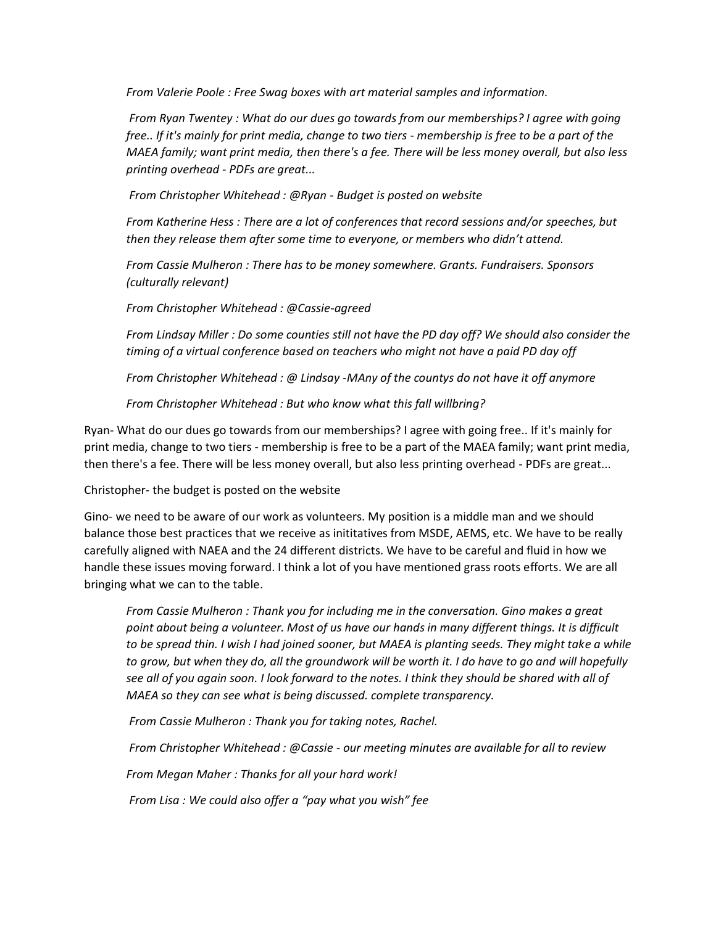*From Valerie Poole : Free Swag boxes with art material samples and information.*

*From Ryan Twentey : What do our dues go towards from our memberships? I agree with going free.. If it's mainly for print media, change to two tiers - membership is free to be a part of the MAEA family; want print media, then there's a fee. There will be less money overall, but also less printing overhead - PDFs are great...* 

*From Christopher Whitehead : @Ryan - Budget is posted on website*

*From Katherine Hess : There are a lot of conferences that record sessions and/or speeches, but then they release them after some time to everyone, or members who didn't attend.*

*From Cassie Mulheron : There has to be money somewhere. Grants. Fundraisers. Sponsors (culturally relevant)*

*From Christopher Whitehead : @Cassie-agreed*

*From Lindsay Miller : Do some counties still not have the PD day off? We should also consider the timing of a virtual conference based on teachers who might not have a paid PD day off* 

*From Christopher Whitehead : @ Lindsay -MAny of the countys do not have it off anymore*

*From Christopher Whitehead : But who know what this fall willbring?*

Ryan- What do our dues go towards from our memberships? I agree with going free.. If it's mainly for print media, change to two tiers - membership is free to be a part of the MAEA family; want print media, then there's a fee. There will be less money overall, but also less printing overhead - PDFs are great...

Christopher- the budget is posted on the website

Gino- we need to be aware of our work as volunteers. My position is a middle man and we should balance those best practices that we receive as inititatives from MSDE, AEMS, etc. We have to be really carefully aligned with NAEA and the 24 different districts. We have to be careful and fluid in how we handle these issues moving forward. I think a lot of you have mentioned grass roots efforts. We are all bringing what we can to the table.

*From Cassie Mulheron : Thank you for including me in the conversation. Gino makes a great point about being a volunteer. Most of us have our hands in many different things. It is difficult*  to be spread thin. I wish I had joined sooner, but MAEA is planting seeds. They might take a while *to grow, but when they do, all the groundwork will be worth it. I do have to go and will hopefully see all of you again soon. I look forward to the notes. I think they should be shared with all of MAEA so they can see what is being discussed. complete transparency.*

*From Cassie Mulheron : Thank you for taking notes, Rachel.*

*From Christopher Whitehead : @Cassie - our meeting minutes are available for all to review*

*From Megan Maher : Thanks for all your hard work!*

*From Lisa : We could also offer a "pay what you wish" fee*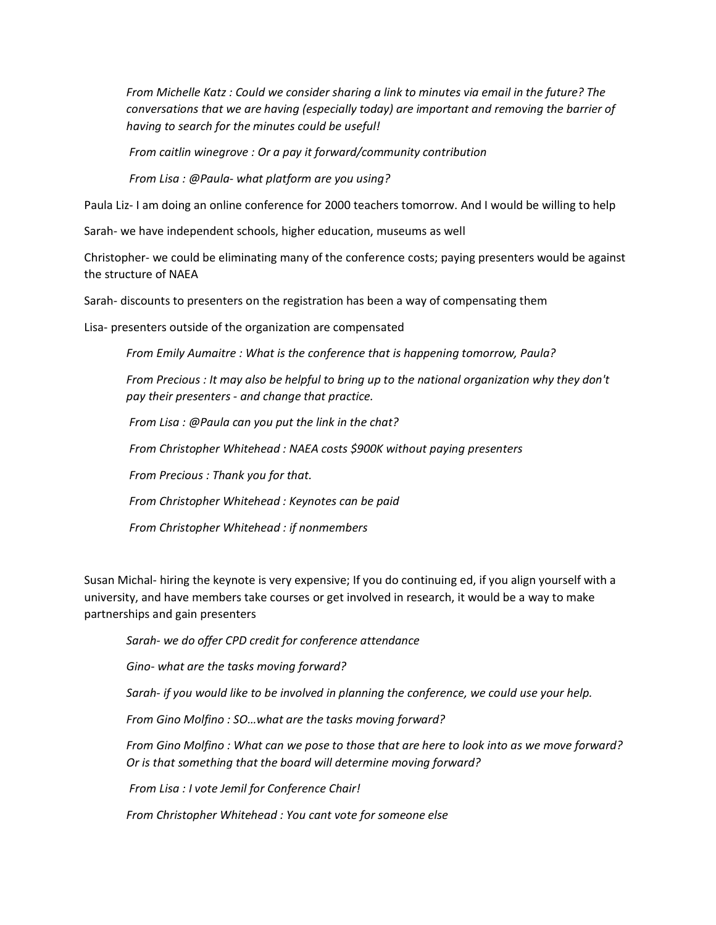*From Michelle Katz : Could we consider sharing a link to minutes via email in the future? The conversations that we are having (especially today) are important and removing the barrier of having to search for the minutes could be useful!*

*From caitlin winegrove : Or a pay it forward/community contribution*

*From Lisa : @Paula- what platform are you using?*

Paula Liz- I am doing an online conference for 2000 teachers tomorrow. And I would be willing to help

Sarah- we have independent schools, higher education, museums as well

Christopher- we could be eliminating many of the conference costs; paying presenters would be against the structure of NAEA

Sarah- discounts to presenters on the registration has been a way of compensating them

Lisa- presenters outside of the organization are compensated

*From Emily Aumaitre : What is the conference that is happening tomorrow, Paula?*

*From Precious : It may also be helpful to bring up to the national organization why they don't pay their presenters - and change that practice.*

*From Lisa : @Paula can you put the link in the chat?*

*From Christopher Whitehead : NAEA costs \$900K without paying presenters*

*From Precious : Thank you for that.*

*From Christopher Whitehead : Keynotes can be paid*

*From Christopher Whitehead : if nonmembers*

Susan Michal- hiring the keynote is very expensive; If you do continuing ed, if you align yourself with a university, and have members take courses or get involved in research, it would be a way to make partnerships and gain presenters

*Sarah- we do offer CPD credit for conference attendance*

*Gino- what are the tasks moving forward?*

*Sarah- if you would like to be involved in planning the conference, we could use your help.* 

*From Gino Molfino : SO…what are the tasks moving forward?*

*From Gino Molfino : What can we pose to those that are here to look into as we move forward? Or is that something that the board will determine moving forward?*

*From Lisa : I vote Jemil for Conference Chair!*

*From Christopher Whitehead : You cant vote for someone else*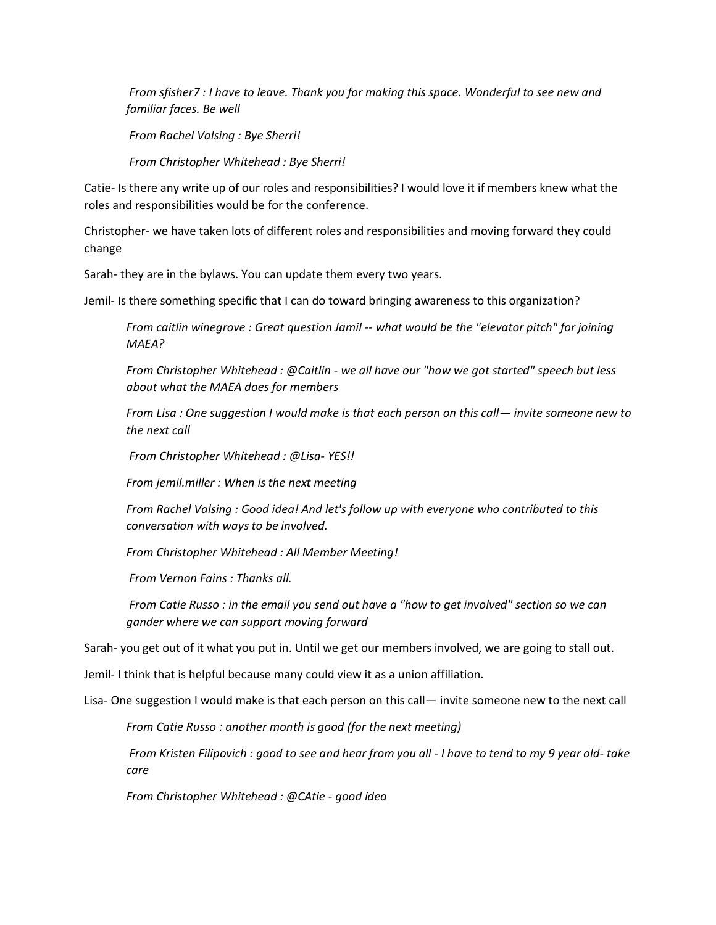*From sfisher7 : I have to leave. Thank you for making this space. Wonderful to see new and familiar faces. Be well*

*From Rachel Valsing : Bye Sherri!*

*From Christopher Whitehead : Bye Sherri!*

Catie- Is there any write up of our roles and responsibilities? I would love it if members knew what the roles and responsibilities would be for the conference.

Christopher- we have taken lots of different roles and responsibilities and moving forward they could change

Sarah- they are in the bylaws. You can update them every two years.

Jemil- Is there something specific that I can do toward bringing awareness to this organization?

*From caitlin winegrove : Great question Jamil -- what would be the "elevator pitch" for joining MAEA?*

*From Christopher Whitehead : @Caitlin - we all have our "how we got started" speech but less about what the MAEA does for members*

*From Lisa : One suggestion I would make is that each person on this call— invite someone new to the next call*

*From Christopher Whitehead : @Lisa- YES!!*

*From jemil.miller : When is the next meeting*

*From Rachel Valsing : Good idea! And let's follow up with everyone who contributed to this conversation with ways to be involved.*

*From Christopher Whitehead : All Member Meeting!*

*From Vernon Fains : Thanks all.*

*From Catie Russo : in the email you send out have a "how to get involved" section so we can gander where we can support moving forward*

Sarah- you get out of it what you put in. Until we get our members involved, we are going to stall out.

Jemil- I think that is helpful because many could view it as a union affiliation.

Lisa- One suggestion I would make is that each person on this call— invite someone new to the next call

*From Catie Russo : another month is good (for the next meeting)*

*From Kristen Filipovich : good to see and hear from you all - I have to tend to my 9 year old- take care*

*From Christopher Whitehead : @CAtie - good idea*